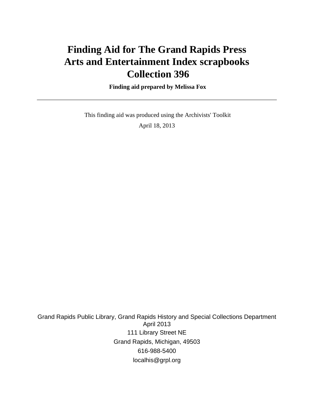# **Finding Aid for The Grand Rapids Press Arts and Entertainment Index scrapbooks Collection 396**

 **Finding aid prepared by Melissa Fox**

 This finding aid was produced using the Archivists' Toolkit April 18, 2013

Grand Rapids Public Library, Grand Rapids History and Special Collections Department April 2013 111 Library Street NE Grand Rapids, Michigan, 49503 616-988-5400 localhis@grpl.org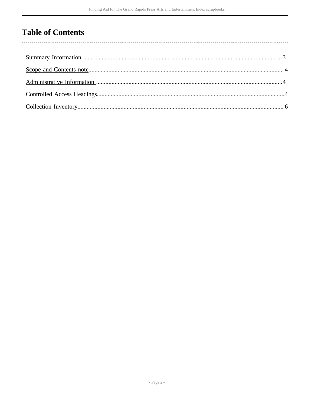## **Table of Contents**

 $\overline{\phantom{a}}$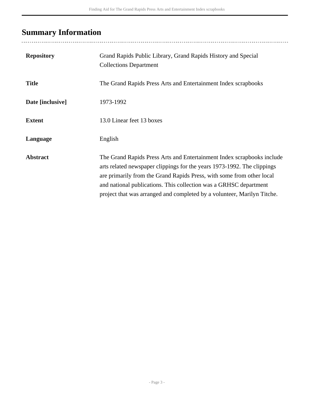# <span id="page-2-0"></span>**Summary Information**

| <b>Repository</b> | Grand Rapids Public Library, Grand Rapids History and Special<br><b>Collections Department</b>                                                                                                                                                                                                                                                                             |
|-------------------|----------------------------------------------------------------------------------------------------------------------------------------------------------------------------------------------------------------------------------------------------------------------------------------------------------------------------------------------------------------------------|
| <b>Title</b>      | The Grand Rapids Press Arts and Entertainment Index scrapbooks                                                                                                                                                                                                                                                                                                             |
| Date [inclusive]  | 1973-1992                                                                                                                                                                                                                                                                                                                                                                  |
| <b>Extent</b>     | 13.0 Linear feet 13 boxes                                                                                                                                                                                                                                                                                                                                                  |
| Language          | English                                                                                                                                                                                                                                                                                                                                                                    |
| <b>Abstract</b>   | The Grand Rapids Press Arts and Entertainment Index scrapbooks include<br>arts related newspaper clippings for the years 1973-1992. The clippings<br>are primarily from the Grand Rapids Press, with some from other local<br>and national publications. This collection was a GRHSC department<br>project that was arranged and completed by a volunteer, Marilyn Titche. |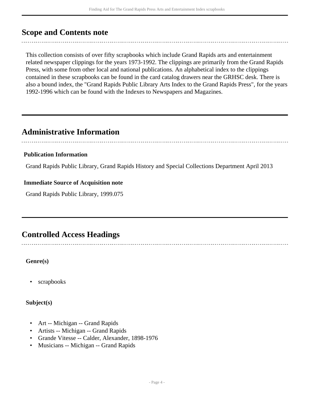### <span id="page-3-0"></span>**Scope and Contents note**

This collection consists of over fifty scrapbooks which include Grand Rapids arts and entertainment related newspaper clippings for the years 1973-1992. The clippings are primarily from the Grand Rapids Press, with some from other local and national publications. An alphabetical index to the clippings contained in these scrapbooks can be found in the card catalog drawers near the GRHSC desk. There is also a bound index, the "Grand Rapids Public Library Arts Index to the Grand Rapids Press", for the years 1992-1996 which can be found with the Indexes to Newspapers and Magazines.

### <span id="page-3-1"></span>**Administrative Information**

#### **Publication Information**

Grand Rapids Public Library, Grand Rapids History and Special Collections Department April 2013

#### **Immediate Source of Acquisition note**

Grand Rapids Public Library, 1999.075

## <span id="page-3-2"></span>**Controlled Access Headings**

#### **Genre(s)**

scrapbooks

#### **Subject(s)**

- Art -- Michigan -- Grand Rapids
- Artists -- Michigan -- Grand Rapids
- Grande Vitesse -- Calder, Alexander, 1898-1976
- Musicians -- Michigan -- Grand Rapids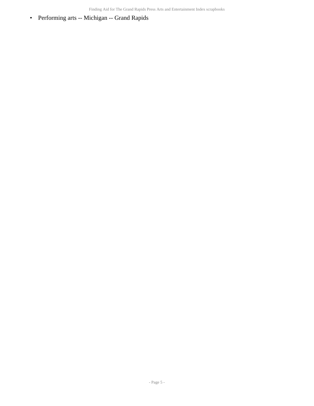• Performing arts -- Michigan -- Grand Rapids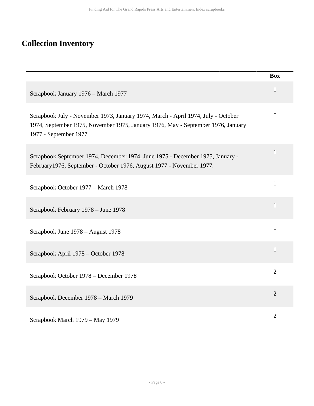## <span id="page-5-0"></span>**Collection Inventory**

|                                                                                                                                                                                               | <b>Box</b>     |
|-----------------------------------------------------------------------------------------------------------------------------------------------------------------------------------------------|----------------|
| Scrapbook January 1976 - March 1977                                                                                                                                                           | $\mathbf{1}$   |
| Scrapbook July - November 1973, January 1974, March - April 1974, July - October<br>1974, September 1975, November 1975, January 1976, May - September 1976, January<br>1977 - September 1977 | $\mathbf{1}$   |
| Scrapbook September 1974, December 1974, June 1975 - December 1975, January -<br>February 1976, September - October 1976, August 1977 - November 1977.                                        | 1              |
| Scrapbook October 1977 - March 1978                                                                                                                                                           | $\mathbf{1}$   |
| Scrapbook February 1978 – June 1978                                                                                                                                                           | $\mathbf{1}$   |
| Scrapbook June 1978 – August 1978                                                                                                                                                             | $\mathbf{1}$   |
| Scrapbook April 1978 – October 1978                                                                                                                                                           | 1              |
| Scrapbook October 1978 - December 1978                                                                                                                                                        | $\overline{2}$ |
| Scrapbook December 1978 - March 1979                                                                                                                                                          | $\overline{2}$ |
| Scrapbook March 1979 – May 1979                                                                                                                                                               | $\overline{2}$ |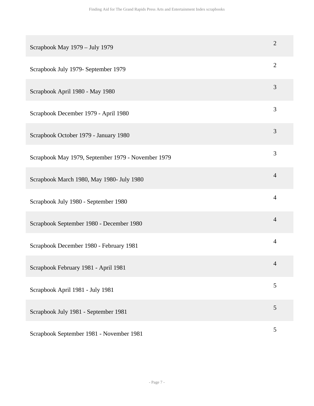| Scrapbook May 1979 - July 1979                     | $\mathbf{2}$   |
|----------------------------------------------------|----------------|
| Scrapbook July 1979- September 1979                | $\mathbf{2}$   |
| Scrapbook April 1980 - May 1980                    | 3              |
| Scrapbook December 1979 - April 1980               | 3              |
| Scrapbook October 1979 - January 1980              | 3              |
| Scrapbook May 1979, September 1979 - November 1979 | 3              |
| Scrapbook March 1980, May 1980- July 1980          | $\overline{4}$ |
| Scrapbook July 1980 - September 1980               | $\overline{4}$ |
| Scrapbook September 1980 - December 1980           | $\overline{4}$ |
| Scrapbook December 1980 - February 1981            | $\overline{4}$ |
| Scrapbook February 1981 - April 1981               | 4              |
| Scrapbook April 1981 - July 1981                   | 5              |
| Scrapbook July 1981 - September 1981               | 5              |
| Scrapbook September 1981 - November 1981           | 5              |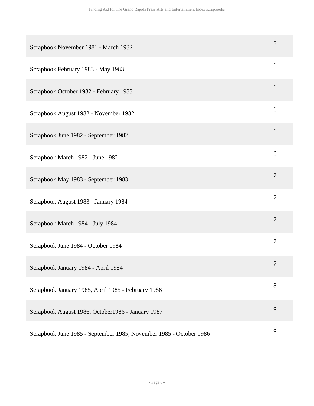| Scrapbook November 1981 - March 1982                               | 5                |
|--------------------------------------------------------------------|------------------|
| Scrapbook February 1983 - May 1983                                 | 6                |
| Scrapbook October 1982 - February 1983                             | 6                |
| Scrapbook August 1982 - November 1982                              | 6                |
| Scrapbook June 1982 - September 1982                               | 6                |
| Scrapbook March 1982 - June 1982                                   | 6                |
| Scrapbook May 1983 - September 1983                                | $\boldsymbol{7}$ |
| Scrapbook August 1983 - January 1984                               | $\tau$           |
| Scrapbook March 1984 - July 1984                                   | $\tau$           |
| Scrapbook June 1984 - October 1984                                 | $\boldsymbol{7}$ |
| Scrapbook January 1984 - April 1984                                | 7                |
| Scrapbook January 1985, April 1985 - February 1986                 | 8                |
| Scrapbook August 1986, October1986 - January 1987                  | 8                |
| Scrapbook June 1985 - September 1985, November 1985 - October 1986 | 8                |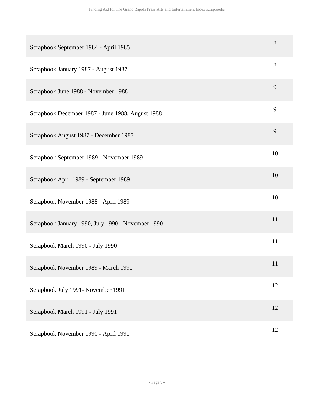| Scrapbook September 1984 - April 1985             | 8  |
|---------------------------------------------------|----|
| Scrapbook January 1987 - August 1987              | 8  |
| Scrapbook June 1988 - November 1988               | 9  |
| Scrapbook December 1987 - June 1988, August 1988  | 9  |
| Scrapbook August 1987 - December 1987             | 9  |
| Scrapbook September 1989 - November 1989          | 10 |
| Scrapbook April 1989 - September 1989             | 10 |
| Scrapbook November 1988 - April 1989              | 10 |
| Scrapbook January 1990, July 1990 - November 1990 | 11 |
| Scrapbook March 1990 - July 1990                  | 11 |
| Scrapbook November 1989 - March 1990              | 11 |
| Scrapbook July 1991- November 1991                | 12 |
| Scrapbook March 1991 - July 1991                  | 12 |
| Scrapbook November 1990 - April 1991              | 12 |